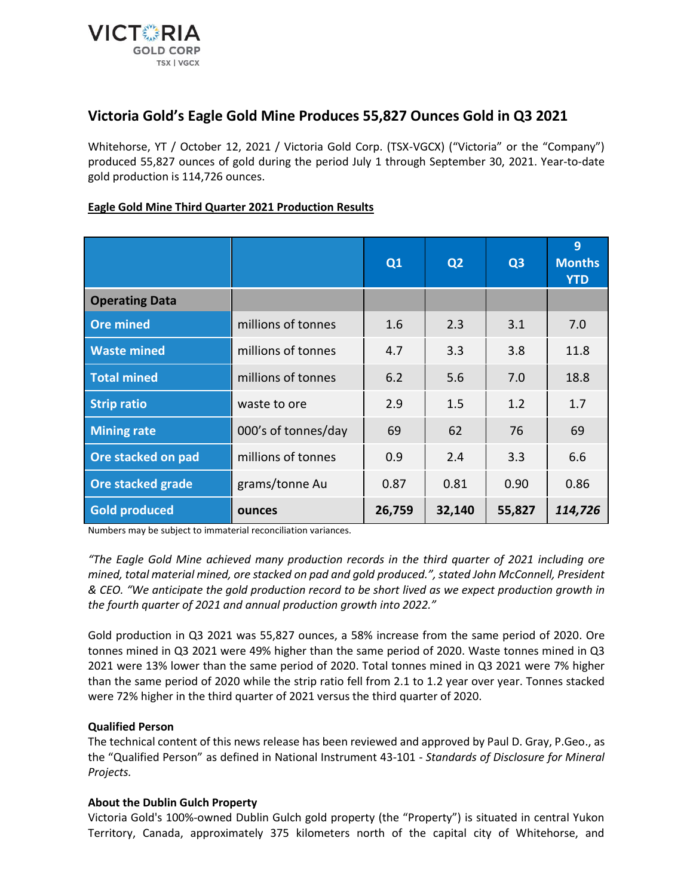

# **Victoria Gold's Eagle Gold Mine Produces 55,827 Ounces Gold in Q3 2021**

Whitehorse, YT / October 12, 2021 / Victoria Gold Corp. (TSX-VGCX) ("Victoria" or the "Company") produced 55,827 ounces of gold during the period July 1 through September 30, 2021. Year-to-date gold production is 114,726 ounces.

## **Eagle Gold Mine Third Quarter 2021 Production Results**

|                       |                     | Q1     | Q2     | Q3     | 9<br><b>Months</b><br><b>YTD</b> |
|-----------------------|---------------------|--------|--------|--------|----------------------------------|
| <b>Operating Data</b> |                     |        |        |        |                                  |
| <b>Ore mined</b>      | millions of tonnes  | 1.6    | 2.3    | 3.1    | 7.0                              |
| <b>Waste mined</b>    | millions of tonnes  | 4.7    | 3.3    | 3.8    | 11.8                             |
| <b>Total mined</b>    | millions of tonnes  | 6.2    | 5.6    | 7.0    | 18.8                             |
| <b>Strip ratio</b>    | waste to ore        | 2.9    | 1.5    | 1.2    | 1.7                              |
| <b>Mining rate</b>    | 000's of tonnes/day | 69     | 62     | 76     | 69                               |
| Ore stacked on pad    | millions of tonnes  | 0.9    | 2.4    | 3.3    | 6.6                              |
| Ore stacked grade     | grams/tonne Au      | 0.87   | 0.81   | 0.90   | 0.86                             |
| <b>Gold produced</b>  | ounces              | 26,759 | 32,140 | 55,827 | 114,726                          |

Numbers may be subject to immaterial reconciliation variances.

*"The Eagle Gold Mine achieved many production records in the third quarter of 2021 including ore mined, total material mined, ore stacked on pad and gold produced.", stated John McConnell, President & CEO. "We anticipate the gold production record to be short lived as we expect production growth in the fourth quarter of 2021 and annual production growth into 2022."*

Gold production in Q3 2021 was 55,827 ounces, a 58% increase from the same period of 2020. Ore tonnes mined in Q3 2021 were 49% higher than the same period of 2020. Waste tonnes mined in Q3 2021 were 13% lower than the same period of 2020. Total tonnes mined in Q3 2021 were 7% higher than the same period of 2020 while the strip ratio fell from 2.1 to 1.2 year over year. Tonnes stacked were 72% higher in the third quarter of 2021 versus the third quarter of 2020.

### **Qualified Person**

The technical content of this news release has been reviewed and approved by Paul D. Gray, P.Geo., as the "Qualified Person" as defined in National Instrument 43-101 - *Standards of Disclosure for Mineral Projects.*

### **About the Dublin Gulch Property**

Victoria Gold's 100%-owned Dublin Gulch gold property (the "Property") is situated in central Yukon Territory, Canada, approximately 375 kilometers north of the capital city of Whitehorse, and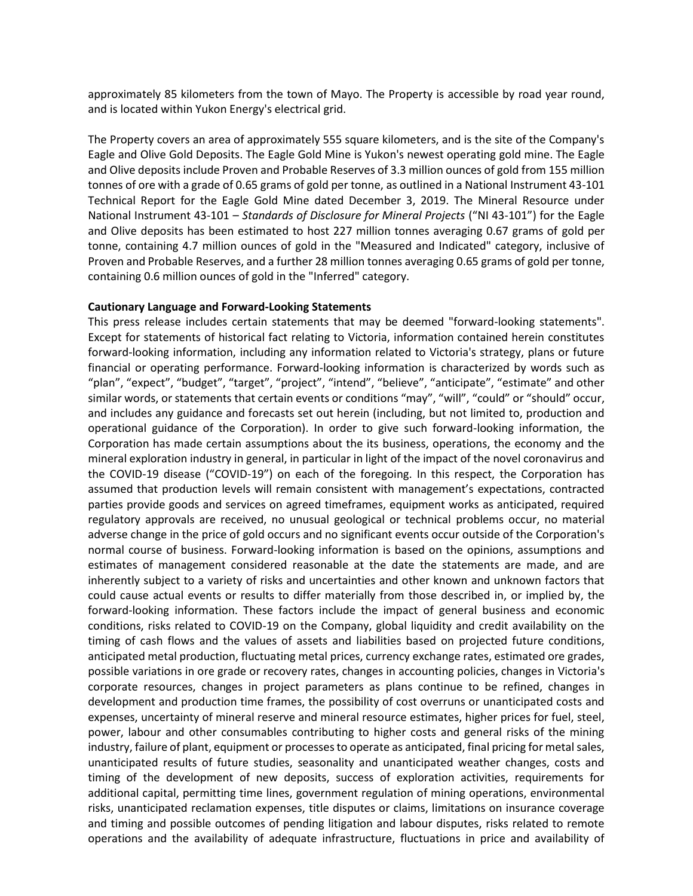approximately 85 kilometers from the town of Mayo. The Property is accessible by road year round, and is located within Yukon Energy's electrical grid.

The Property covers an area of approximately 555 square kilometers, and is the site of the Company's Eagle and Olive Gold Deposits. The Eagle Gold Mine is Yukon's newest operating gold mine. The Eagle and Olive deposits include Proven and Probable Reserves of 3.3 million ounces of gold from 155 million tonnes of ore with a grade of 0.65 grams of gold per tonne, as outlined in a National Instrument 43-101 Technical Report for the Eagle Gold Mine dated December 3, 2019. The Mineral Resource under National Instrument 43-101 – *Standards of Disclosure for Mineral Projects* ("NI 43-101") for the Eagle and Olive deposits has been estimated to host 227 million tonnes averaging 0.67 grams of gold per tonne, containing 4.7 million ounces of gold in the "Measured and Indicated" category, inclusive of Proven and Probable Reserves, and a further 28 million tonnes averaging 0.65 grams of gold per tonne, containing 0.6 million ounces of gold in the "Inferred" category.

#### **Cautionary Language and Forward-Looking Statements**

This press release includes certain statements that may be deemed "forward-looking statements". Except for statements of historical fact relating to Victoria, information contained herein constitutes forward-looking information, including any information related to Victoria's strategy, plans or future financial or operating performance. Forward-looking information is characterized by words such as "plan", "expect", "budget", "target", "project", "intend", "believe", "anticipate", "estimate" and other similar words, or statements that certain events or conditions "may", "will", "could" or "should" occur, and includes any guidance and forecasts set out herein (including, but not limited to, production and operational guidance of the Corporation). In order to give such forward-looking information, the Corporation has made certain assumptions about the its business, operations, the economy and the mineral exploration industry in general, in particular in light of the impact of the novel coronavirus and the COVID-19 disease ("COVID-19") on each of the foregoing. In this respect, the Corporation has assumed that production levels will remain consistent with management's expectations, contracted parties provide goods and services on agreed timeframes, equipment works as anticipated, required regulatory approvals are received, no unusual geological or technical problems occur, no material adverse change in the price of gold occurs and no significant events occur outside of the Corporation's normal course of business. Forward-looking information is based on the opinions, assumptions and estimates of management considered reasonable at the date the statements are made, and are inherently subject to a variety of risks and uncertainties and other known and unknown factors that could cause actual events or results to differ materially from those described in, or implied by, the forward-looking information. These factors include the impact of general business and economic conditions, risks related to COVID-19 on the Company, global liquidity and credit availability on the timing of cash flows and the values of assets and liabilities based on projected future conditions, anticipated metal production, fluctuating metal prices, currency exchange rates, estimated ore grades, possible variations in ore grade or recovery rates, changes in accounting policies, changes in Victoria's corporate resources, changes in project parameters as plans continue to be refined, changes in development and production time frames, the possibility of cost overruns or unanticipated costs and expenses, uncertainty of mineral reserve and mineral resource estimates, higher prices for fuel, steel, power, labour and other consumables contributing to higher costs and general risks of the mining industry, failure of plant, equipment or processes to operate as anticipated, final pricing for metal sales, unanticipated results of future studies, seasonality and unanticipated weather changes, costs and timing of the development of new deposits, success of exploration activities, requirements for additional capital, permitting time lines, government regulation of mining operations, environmental risks, unanticipated reclamation expenses, title disputes or claims, limitations on insurance coverage and timing and possible outcomes of pending litigation and labour disputes, risks related to remote operations and the availability of adequate infrastructure, fluctuations in price and availability of